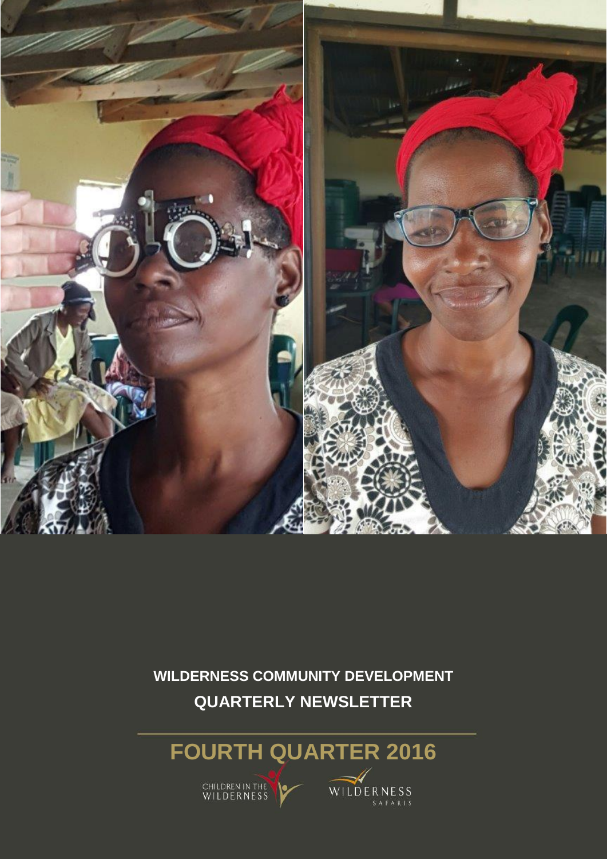

**WILDERNESS COMMUNITY DEVELOPMENT QUARTERLY NEWSLETTER**

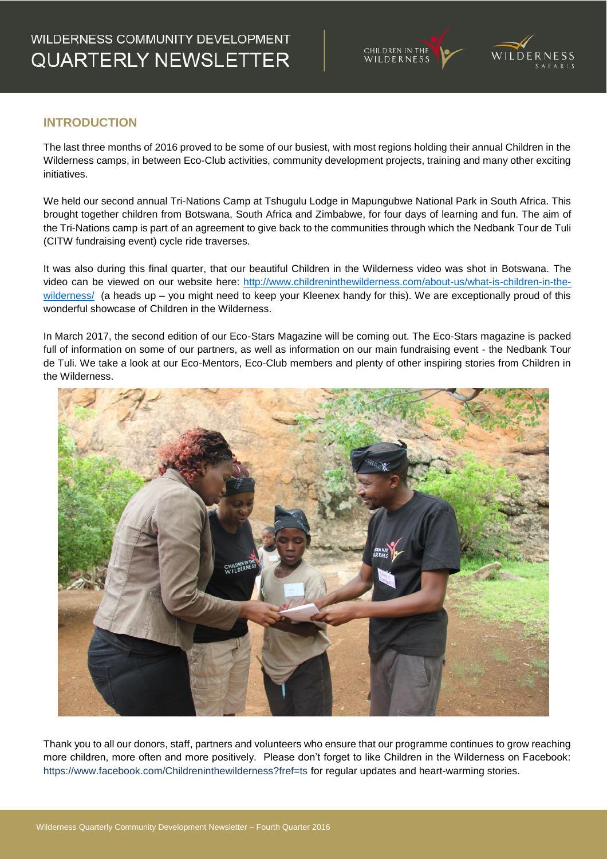



## **INTRODUCTION**

The last three months of 2016 proved to be some of our busiest, with most regions holding their annual Children in the Wilderness camps, in between Eco-Club activities, community development projects, training and many other exciting initiatives.

We held our second annual Tri-Nations Camp at Tshugulu Lodge in Mapungubwe National Park in South Africa. This brought together children from Botswana, South Africa and Zimbabwe, for four days of learning and fun. The aim of the Tri-Nations camp is part of an agreement to give back to the communities through which the Nedbank Tour de Tuli (CITW fundraising event) cycle ride traverses.

It was also during this final quarter, that our beautiful Children in the Wilderness video was shot in Botswana. The video can be viewed on our website here: [http://www.childreninthewilderness.com/about-us/what-is-children-in-the](http://www.childreninthewilderness.com/about-us/what-is-children-in-the-wilderness/)[wilderness/](http://www.childreninthewilderness.com/about-us/what-is-children-in-the-wilderness/) (a heads up - you might need to keep your Kleenex handy for this). We are exceptionally proud of this wonderful showcase of Children in the Wilderness.

In March 2017, the second edition of our Eco-Stars Magazine will be coming out. The Eco-Stars magazine is packed full of information on some of our partners, as well as information on our main fundraising event - the Nedbank Tour de Tuli. We take a look at our Eco-Mentors, Eco-Club members and plenty of other inspiring stories from Children in the Wilderness.



Thank you to all our donors, staff, partners and volunteers who ensure that our programme continues to grow reaching more children, more often and more positively. Please don't forget to like Children in the Wilderness on Facebook: https://www.facebook.com/Childreninthewilderness?fref=ts for regular updates and heart-warming stories.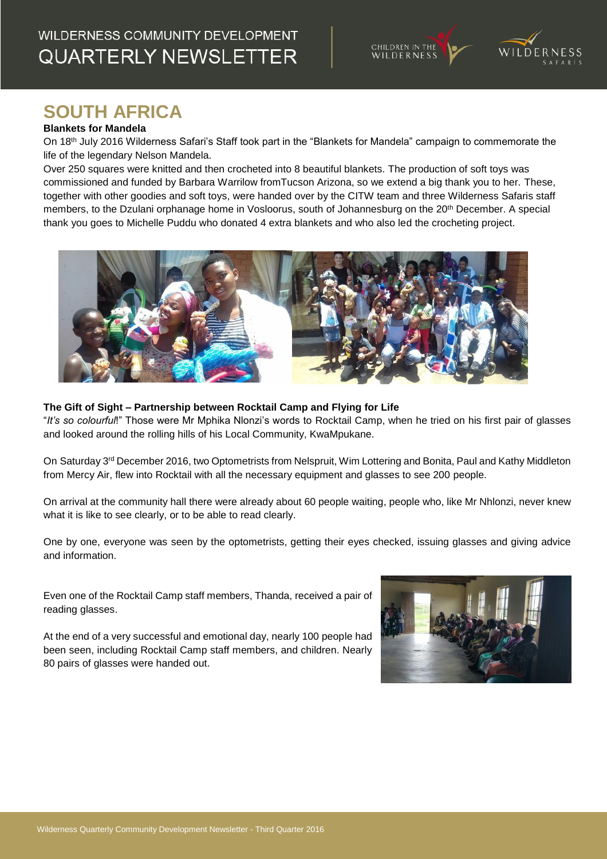## WILDERNESS COMMUNITY DEVELOPMENT **QUARTERLY NEWSLETTER**

children in the<br>WILDERNESS

# **SOUTH AFRICA**

#### **Blankets for Mandela**

On 18th July 2016 Wilderness Safari's Staff took part in the "Blankets for Mandela" campaign to commemorate the life of the legendary Nelson Mandela.

Over 250 squares were knitted and then crocheted into 8 beautiful blankets. The production of soft toys was commissioned and funded by Barbara Warrilow fromTucson Arizona, so we extend a big thank you to her. These, together with other goodies and soft toys, were handed over by the CITW team and three Wilderness Safaris staff members, to the Dzulani orphanage home in Vosloorus, south of Johannesburg on the 20th December. A special thank you goes to Michelle Puddu who donated 4 extra blankets and who also led the crocheting project.



### **The Gift of Sight – Partnership between Rocktail Camp and Flying for Life**

"*It's so colourful*!" Those were Mr Mphika Nlonzi's words to Rocktail Camp, when he tried on his first pair of glasses and looked around the rolling hills of his Local Community, KwaMpukane.

On Saturday 3<sup>rd</sup> December 2016, two Optometrists from Nelspruit, Wim Lottering and Bonita, Paul and Kathy Middleton from Mercy Air, flew into Rocktail with all the necessary equipment and glasses to see 200 people.

On arrival at the community hall there were already about 60 people waiting, people who, like Mr Nhlonzi, never knew what it is like to see clearly, or to be able to read clearly.

One by one, everyone was seen by the optometrists, getting their eyes checked, issuing glasses and giving advice and information.

Even one of the Rocktail Camp staff members, Thanda, received a pair of reading glasses.

At the end of a very successful and emotional day, nearly 100 people had been seen, including Rocktail Camp staff members, and children. Nearly 80 pairs of glasses were handed out.